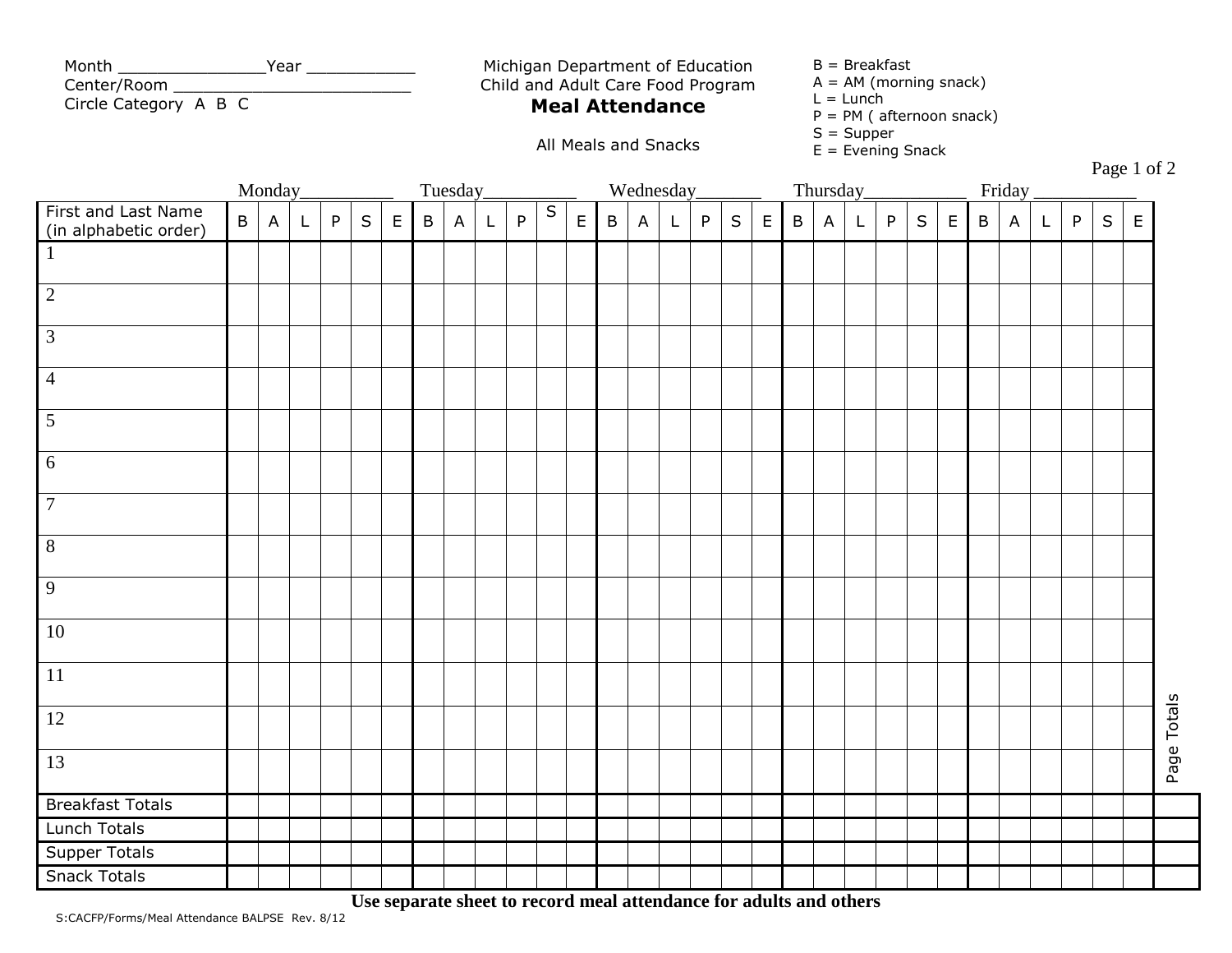| Month                 | Year |
|-----------------------|------|
| Center/Room           |      |
| Circle Category A B C |      |

Michigan Department of Education Child and Adult Care Food Program

All Meals and Snacks

## **Meal Attendance**

 $B = B$ reakfast

- $A = AM$  (morning snack)
- $L =$  Lunch
- P = PM ( afternoon snack)
- $S =$  Supper
- $E =$  Evening Snack

Page 1 of 2

|                                                 |   | Monday_      |              |   |         |             |              | Tuesday_     |   |   |           |             |         | Wednesday_   |              |   |   |              |              | Thursday_    |              |   |         |             |             | Friday         |              |   |         |             |             |
|-------------------------------------------------|---|--------------|--------------|---|---------|-------------|--------------|--------------|---|---|-----------|-------------|---------|--------------|--------------|---|---|--------------|--------------|--------------|--------------|---|---------|-------------|-------------|----------------|--------------|---|---------|-------------|-------------|
| Let and Last Name<br>(in alphabetic order)<br>1 | B | $\mathsf{A}$ | $\mathsf{L}$ | P | $\sf S$ | $\mathsf E$ | $\, {\sf B}$ | $\mathsf{A}$ | L | P | ${\sf S}$ | $\mathsf E$ | $\sf B$ | $\mathsf{A}$ | $\mathsf{L}$ | P | S | $\mathsf{E}$ | $\, {\sf B}$ | $\mathsf{A}$ | $\mathsf{L}$ | P | $\sf S$ | $\mathsf E$ | $\mathsf B$ | $\overline{A}$ | $\mathsf{L}$ | P | $\sf S$ | $\mathsf E$ |             |
|                                                 |   |              |              |   |         |             |              |              |   |   |           |             |         |              |              |   |   |              |              |              |              |   |         |             |             |                |              |   |         |             |             |
| $\boxed{2}$                                     |   |              |              |   |         |             |              |              |   |   |           |             |         |              |              |   |   |              |              |              |              |   |         |             |             |                |              |   |         |             |             |
| $\overline{3}$                                  |   |              |              |   |         |             |              |              |   |   |           |             |         |              |              |   |   |              |              |              |              |   |         |             |             |                |              |   |         |             |             |
| $\overline{4}$                                  |   |              |              |   |         |             |              |              |   |   |           |             |         |              |              |   |   |              |              |              |              |   |         |             |             |                |              |   |         |             |             |
| $\overline{5}$                                  |   |              |              |   |         |             |              |              |   |   |           |             |         |              |              |   |   |              |              |              |              |   |         |             |             |                |              |   |         |             |             |
| $\overline{6}$                                  |   |              |              |   |         |             |              |              |   |   |           |             |         |              |              |   |   |              |              |              |              |   |         |             |             |                |              |   |         |             |             |
| $\overline{7}$                                  |   |              |              |   |         |             |              |              |   |   |           |             |         |              |              |   |   |              |              |              |              |   |         |             |             |                |              |   |         |             |             |
| $\sqrt{8}$                                      |   |              |              |   |         |             |              |              |   |   |           |             |         |              |              |   |   |              |              |              |              |   |         |             |             |                |              |   |         |             |             |
| $\overline{9}$                                  |   |              |              |   |         |             |              |              |   |   |           |             |         |              |              |   |   |              |              |              |              |   |         |             |             |                |              |   |         |             |             |
| <b>10</b>                                       |   |              |              |   |         |             |              |              |   |   |           |             |         |              |              |   |   |              |              |              |              |   |         |             |             |                |              |   |         |             |             |
| 11                                              |   |              |              |   |         |             |              |              |   |   |           |             |         |              |              |   |   |              |              |              |              |   |         |             |             |                |              |   |         |             |             |
| <sup>12</sup>                                   |   |              |              |   |         |             |              |              |   |   |           |             |         |              |              |   |   |              |              |              |              |   |         |             |             |                |              |   |         |             | Page Totals |
| 13                                              |   |              |              |   |         |             |              |              |   |   |           |             |         |              |              |   |   |              |              |              |              |   |         |             |             |                |              |   |         |             |             |
| <b>Breakfast Totals</b>                         |   |              |              |   |         |             |              |              |   |   |           |             |         |              |              |   |   |              |              |              |              |   |         |             |             |                |              |   |         |             |             |
| Lunch Totals                                    |   |              |              |   |         |             |              |              |   |   |           |             |         |              |              |   |   |              |              |              |              |   |         |             |             |                |              |   |         |             |             |
| <b>Supper Totals</b>                            |   |              |              |   |         |             |              |              |   |   |           |             |         |              |              |   |   |              |              |              |              |   |         |             |             |                |              |   |         |             |             |
| <b>Snack Totals</b>                             |   |              |              |   |         |             |              |              |   |   |           |             |         |              |              |   |   |              |              |              |              |   |         |             |             |                |              |   |         |             |             |

**Use separate sheet to record meal attendance for adults and others**